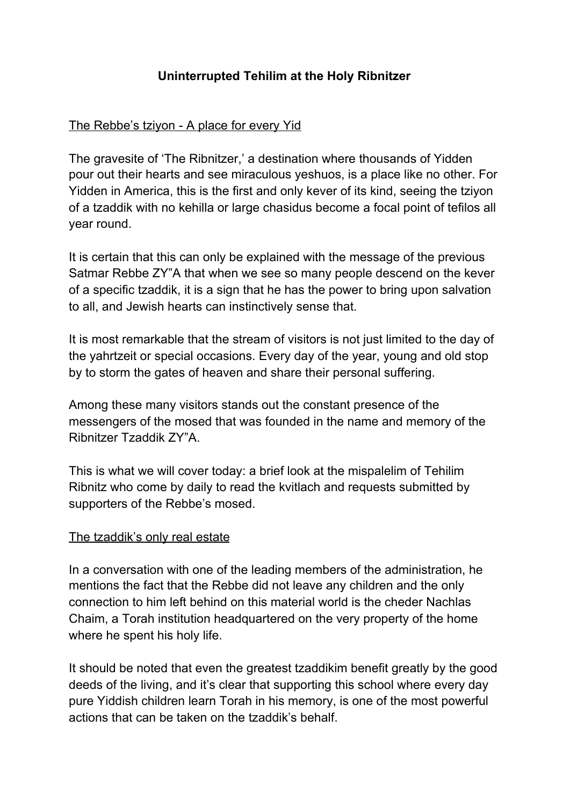# **Uninterrupted Tehilim at the Holy Ribnitzer**

# The Rebbe's tziyon - A place for every Yid

The gravesite of 'The Ribnitzer,' a destination where thousands of Yidden pour out their hearts and see miraculous yeshuos, is a place like no other. For Yidden in America, this is the first and only kever of its kind, seeing the tziyon of a tzaddik with no kehilla or large chasidus become a focal point of tefilos all year round.

It is certain that this can only be explained with the message of the previous Satmar Rebbe ZY"A that when we see so many people descend on the kever of a specific tzaddik, it is a sign that he has the power to bring upon salvation to all, and Jewish hearts can instinctively sense that.

It is most remarkable that the stream of visitors is not just limited to the day of the yahrtzeit or special occasions. Every day of the year, young and old stop by to storm the gates of heaven and share their personal suffering.

Among these many visitors stands out the constant presence of the messengers of the mosed that was founded in the name and memory of the Ribnitzer Tzaddik ZY"A.

This is what we will cover today: a brief look at the mispalelim of Tehilim Ribnitz who come by daily to read the kvitlach and requests submitted by supporters of the Rebbe's mosed.

#### The tzaddik's only real estate

In a conversation with one of the leading members of the administration, he mentions the fact that the Rebbe did not leave any children and the only connection to him left behind on this material world is the cheder Nachlas Chaim, a Torah institution headquartered on the very property of the home where he spent his holy life.

It should be noted that even the greatest tzaddikim benefit greatly by the good deeds of the living, and it's clear that supporting this school where every day pure Yiddish children learn Torah in his memory, is one of the most powerful actions that can be taken on the tzaddik's behalf.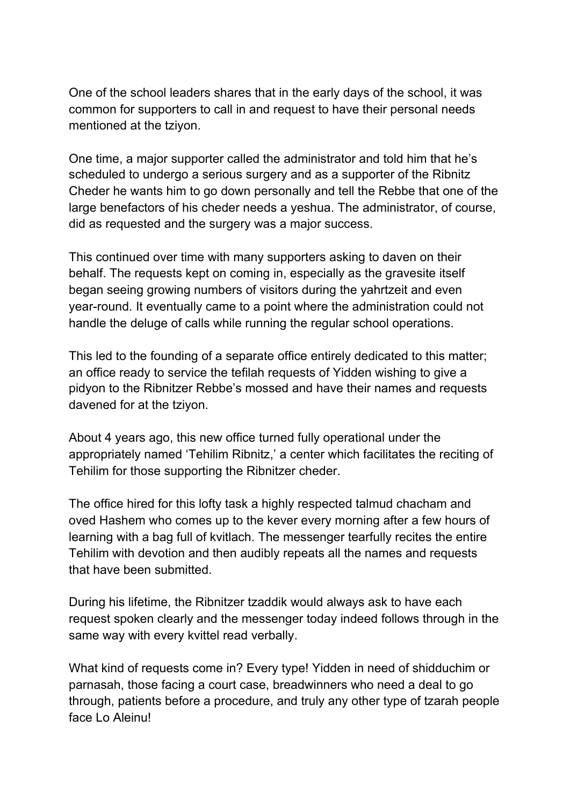One of the school leaders shares that in the early days of the school, it was common for supporters to call in and request to have their personal needs mentioned at the tziyon.

One time, a major supporter called the administrator and told him that he's scheduled to undergo a serious surgery and as a supporter of the Ribnitz Cheder he wants him to go down personally and tell the Rebbe that one of the large benefactors of his cheder needs a yeshua. The administrator, of course, did as requested and the surgery was a major success.

This continued over time with many supporters asking to daven on their behalf. The requests kept on coming in, especially as the gravesite itself began seeing growing numbers of visitors during the yahrtzeit and even year-round. It eventually came to a point where the administration could not handle the deluge of calls while running the regular school operations.

This led to the founding of a separate office entirely dedicated to this matter; an office ready to service the tefilah requests of Yidden wishing to give a pidyon to the Ribnitzer Rebbe's mossed and have their names and requests davened for at the tziyon.

About 4 years ago, this new office turned fully operational under the appropriately named 'Tehilim Ribnitz,' a center which facilitates the reciting of Tehilim for those supporting the Ribnitzer cheder.

The office hired for this lofty task a highly respected talmud chacham and oved Hashem who comes up to the kever every morning after a few hours of learning with a bag full of kvitlach. The messenger tearfully recites the entire Tehilim with devotion and then audibly repeats all the names and requests that have been submitted.

During his lifetime, the Ribnitzer tzaddik would always ask to have each request spoken clearly and the messenger today indeed follows through in the same way with every kvittel read verbally.

What kind of requests come in? Every type! Yidden in need of shidduchim or parnasah, those facing a court case, breadwinners who need a deal to go through, patients before a procedure, and truly any other type of tzarah people face Lo Aleinu!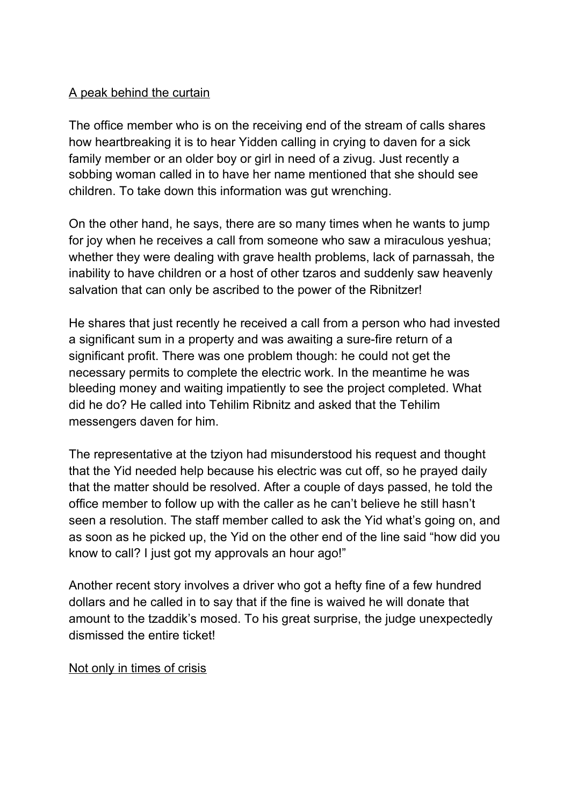# A peak behind the curtain

The office member who is on the receiving end of the stream of calls shares how heartbreaking it is to hear Yidden calling in crying to daven for a sick family member or an older boy or girl in need of a zivug. Just recently a sobbing woman called in to have her name mentioned that she should see children. To take down this information was gut wrenching.

On the other hand, he says, there are so many times when he wants to jump for joy when he receives a call from someone who saw a miraculous yeshua; whether they were dealing with grave health problems, lack of parnassah, the inability to have children or a host of other tzaros and suddenly saw heavenly salvation that can only be ascribed to the power of the Ribnitzer!

He shares that just recently he received a call from a person who had invested a significant sum in a property and was awaiting a sure-fire return of a significant profit. There was one problem though: he could not get the necessary permits to complete the electric work. In the meantime he was bleeding money and waiting impatiently to see the project completed. What did he do? He called into Tehilim Ribnitz and asked that the Tehilim messengers daven for him.

The representative at the tziyon had misunderstood his request and thought that the Yid needed help because his electric was cut off, so he prayed daily that the matter should be resolved. After a couple of days passed, he told the office member to follow up with the caller as he can't believe he still hasn't seen a resolution. The staff member called to ask the Yid what's going on, and as soon as he picked up, the Yid on the other end of the line said "how did you know to call? I just got my approvals an hour ago!"

Another recent story involves a driver who got a hefty fine of a few hundred dollars and he called in to say that if the fine is waived he will donate that amount to the tzaddik's mosed. To his great surprise, the judge unexpectedly dismissed the entire ticket!

### Not only in times of crisis